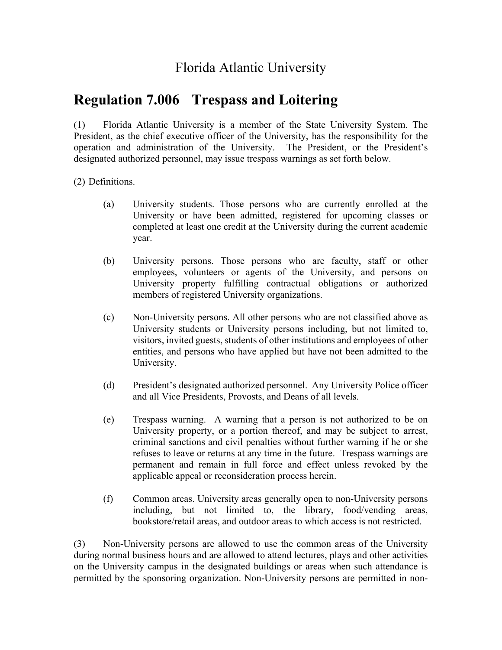## Florida Atlantic University

## **Regulation 7.006 Trespass and Loitering**

(1) Florida Atlantic University is a member of the State University System. The President, as the chief executive officer of the University, has the responsibility for the operation and administration of the University. The President, or the President's designated authorized personnel, may issue trespass warnings as set forth below.

(2) Definitions.

- (a) University students. Those persons who are currently enrolled at the University or have been admitted, registered for upcoming classes or completed at least one credit at the University during the current academic year.
- (b) University persons. Those persons who are faculty, staff or other employees, volunteers or agents of the University, and persons on University property fulfilling contractual obligations or authorized members of registered University organizations.
- (c) Non-University persons. All other persons who are not classified above as University students or University persons including, but not limited to, visitors, invited guests, students of other institutions and employees of other entities, and persons who have applied but have not been admitted to the University.
- (d) President's designated authorized personnel. Any University Police officer and all Vice Presidents, Provosts, and Deans of all levels.
- (e) Trespass warning. A warning that a person is not authorized to be on University property, or a portion thereof, and may be subject to arrest, criminal sanctions and civil penalties without further warning if he or she refuses to leave or returns at any time in the future. Trespass warnings are permanent and remain in full force and effect unless revoked by the applicable appeal or reconsideration process herein.
- (f) Common areas. University areas generally open to non-University persons including, but not limited to, the library, food/vending areas, bookstore/retail areas, and outdoor areas to which access is not restricted.

(3) Non-University persons are allowed to use the common areas of the University during normal business hours and are allowed to attend lectures, plays and other activities on the University campus in the designated buildings or areas when such attendance is permitted by the sponsoring organization. Non-University persons are permitted in non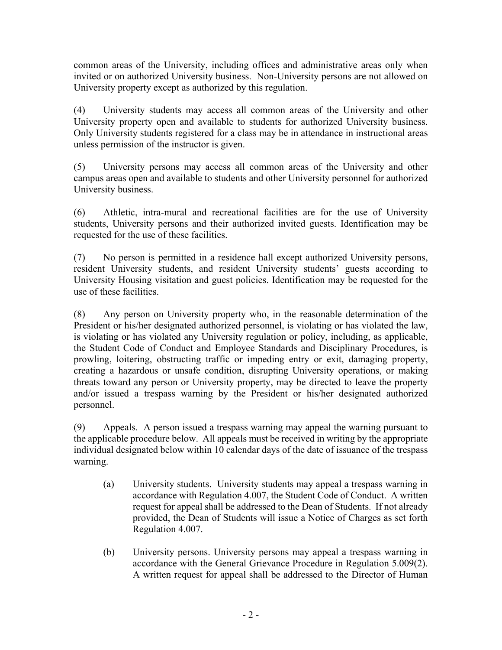common areas of the University, including offices and administrative areas only when invited or on authorized University business. Non-University persons are not allowed on University property except as authorized by this regulation.

(4) University students may access all common areas of the University and other University property open and available to students for authorized University business. Only University students registered for a class may be in attendance in instructional areas unless permission of the instructor is given.

(5) University persons may access all common areas of the University and other campus areas open and available to students and other University personnel for authorized University business.

(6) Athletic, intra-mural and recreational facilities are for the use of University students, University persons and their authorized invited guests. Identification may be requested for the use of these facilities.

(7) No person is permitted in a residence hall except authorized University persons, resident University students, and resident University students' guests according to University Housing visitation and guest policies. Identification may be requested for the use of these facilities.

(8) Any person on University property who, in the reasonable determination of the President or his/her designated authorized personnel, is violating or has violated the law, is violating or has violated any University regulation or policy, including, as applicable, the Student Code of Conduct and Employee Standards and Disciplinary Procedures, is prowling, loitering, obstructing traffic or impeding entry or exit, damaging property, creating a hazardous or unsafe condition, disrupting University operations, or making threats toward any person or University property, may be directed to leave the property and/or issued a trespass warning by the President or his/her designated authorized personnel.

(9) Appeals. A person issued a trespass warning may appeal the warning pursuant to the applicable procedure below. All appeals must be received in writing by the appropriate individual designated below within 10 calendar days of the date of issuance of the trespass warning.

- (a) University students. University students may appeal a trespass warning in accordance with Regulation 4.007, the Student Code of Conduct. A written request for appeal shall be addressed to the Dean of Students. If not already provided, the Dean of Students will issue a Notice of Charges as set forth Regulation 4.007.
- (b) University persons. University persons may appeal a trespass warning in accordance with the General Grievance Procedure in Regulation 5.009(2). A written request for appeal shall be addressed to the Director of Human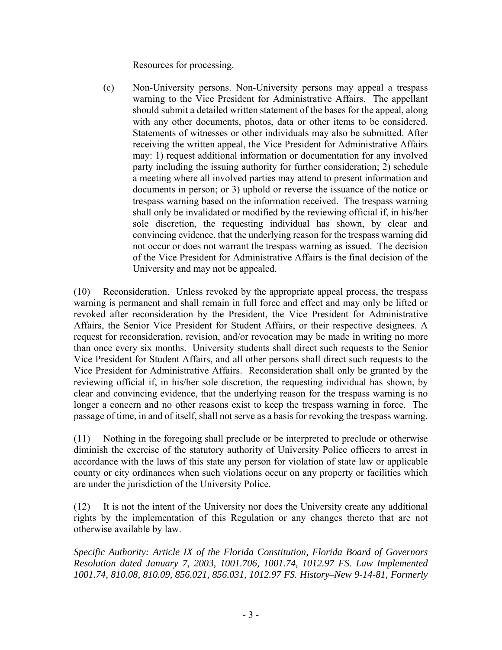Resources for processing.

(c) Non-University persons. Non-University persons may appeal a trespass warning to the Vice President for Administrative Affairs. The appellant should submit a detailed written statement of the bases for the appeal, along with any other documents, photos, data or other items to be considered. Statements of witnesses or other individuals may also be submitted. After receiving the written appeal, the Vice President for Administrative Affairs may: 1) request additional information or documentation for any involved party including the issuing authority for further consideration; 2) schedule a meeting where all involved parties may attend to present information and documents in person; or 3) uphold or reverse the issuance of the notice or trespass warning based on the information received. The trespass warning shall only be invalidated or modified by the reviewing official if, in his/her sole discretion, the requesting individual has shown, by clear and convincing evidence, that the underlying reason for the trespass warning did not occur or does not warrant the trespass warning as issued. The decision of the Vice President for Administrative Affairs is the final decision of the University and may not be appealed.

(10) Reconsideration. Unless revoked by the appropriate appeal process, the trespass warning is permanent and shall remain in full force and effect and may only be lifted or revoked after reconsideration by the President, the Vice President for Administrative Affairs, the Senior Vice President for Student Affairs, or their respective designees. A request for reconsideration, revision, and/or revocation may be made in writing no more than once every six months. University students shall direct such requests to the Senior Vice President for Student Affairs, and all other persons shall direct such requests to the Vice President for Administrative Affairs. Reconsideration shall only be granted by the reviewing official if, in his/her sole discretion, the requesting individual has shown, by clear and convincing evidence, that the underlying reason for the trespass warning is no longer a concern and no other reasons exist to keep the trespass warning in force. The passage of time, in and of itself, shall not serve as a basis for revoking the trespass warning.

(11) Nothing in the foregoing shall preclude or be interpreted to preclude or otherwise diminish the exercise of the statutory authority of University Police officers to arrest in accordance with the laws of this state any person for violation of state law or applicable county or city ordinances when such violations occur on any property or facilities which are under the jurisdiction of the University Police.

(12) It is not the intent of the University nor does the University create any additional rights by the implementation of this Regulation or any changes thereto that are not otherwise available by law.

*Specific Authority: Article IX of the Florida Constitution, Florida Board of Governors Resolution dated January 7, 2003, 1001.706, 1001.74, 1012.97 FS. Law Implemented 1001.74, 810.08, 810.09, 856.021, 856.031, 1012.97 FS. History–New 9-14-81, Formerly*